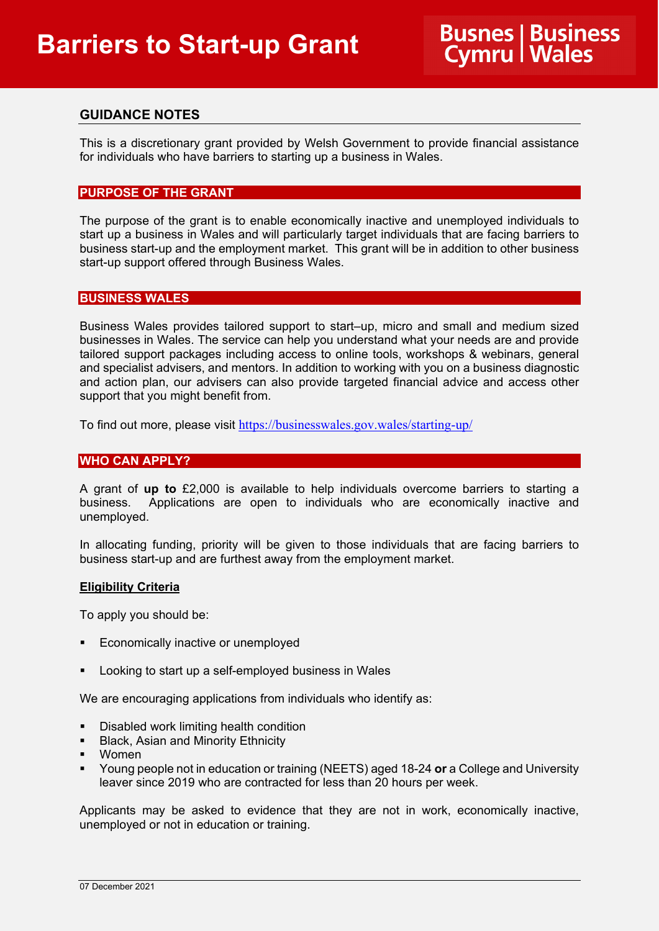# **GUIDANCE NOTES**

This is a discretionary grant provided by Welsh Government to provide financial assistance for individuals who have barriers to starting up a business in Wales.

## **PURPOSE OF THE GRANT**

The purpose of the grant is to enable economically inactive and unemployed individuals to start up a business in Wales and will particularly target individuals that are facing barriers to business start-up and the employment market. This grant will be in addition to other business start-up support offered through Business Wales.

## **BUSINESS WALES**

Business Wales provides tailored support to start–up, micro and small and medium sized businesses in Wales. The service can help you understand what your needs are and provide tailored support packages including access to online tools, workshops & webinars, general and specialist advisers, and mentors. In addition to working with you on a business diagnostic and action plan, our advisers can also provide targeted financial advice and access other support that you might benefit from.

To find out more, please visit <https://businesswales.gov.wales/starting-up/>

# **WHO CAN APPLY?**

A grant of **up to** £2,000 is available to help individuals overcome barriers to starting a business. Applications are open to individuals who are economically inactive and unemployed.

In allocating funding, priority will be given to those individuals that are facing barriers to business start-up and are furthest away from the employment market.

### **Eligibility Criteria**

To apply you should be:

- Economically inactive or unemployed
- Looking to start up a self-employed business in Wales

We are encouraging applications from individuals who identify as:

- Disabled work limiting health condition
- **Black, Asian and Minority Ethnicity**
- Women
- Young people not in education or training (NEETS) aged 18-24 **or** a College and University leaver since 2019 who are contracted for less than 20 hours per week.

Applicants may be asked to evidence that they are not in work, economically inactive, unemployed or not in education or training.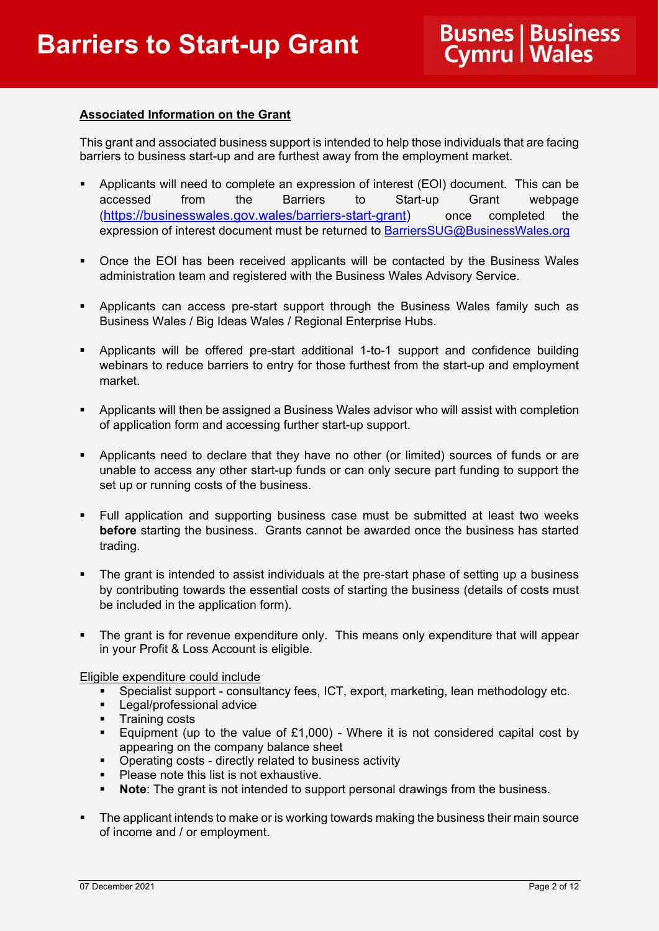# **Associated Information on the Grant**

This grant and associated business support is intended to help those individuals that are facing barriers to business start-up and are furthest away from the employment market.

- Applicants will need to complete an expression of interest (EOI) document. This can be accessed from the Barriers to Start-up Grant webpage [\(https://businesswales.gov.wales/barriers-start-grant\)](https://businesswales.gov.wales/barriers-start-grant) once completed the expression of interest document must be returned to [BarriersSUG@BusinessWales.org](mailto:BarriersSUG@BusinessWales.org)
- Once the EOI has been received applicants will be contacted by the Business Wales administration team and registered with the Business Wales Advisory Service.
- **Applicants can access pre-start support through the Business Wales family such as** Business Wales / Big Ideas Wales / Regional Enterprise Hubs.
- Applicants will be offered pre-start additional 1-to-1 support and confidence building webinars to reduce barriers to entry for those furthest from the start-up and employment market.
- Applicants will then be assigned a Business Wales advisor who will assist with completion of application form and accessing further start-up support.
- Applicants need to declare that they have no other (or limited) sources of funds or are unable to access any other start-up funds or can only secure part funding to support the set up or running costs of the business.
- Full application and supporting business case must be submitted at least two weeks **before** starting the business. Grants cannot be awarded once the business has started trading.
- The grant is intended to assist individuals at the pre-start phase of setting up a business by contributing towards the essential costs of starting the business (details of costs must be included in the application form).
- The grant is for revenue expenditure only. This means only expenditure that will appear in your Profit & Loss Account is eligible.

Eligible expenditure could include

- Specialist support consultancy fees, ICT, export, marketing, lean methodology etc.
- **Legal/professional advice**
- **Training costs**
- **Equipment (up to the value of £1,000)** Where it is not considered capital cost by appearing on the company balance sheet
- **Dearman** Costs directly related to business activity<br>
Please note this list is not exhaustive
- Please note this list is not exhaustive.
- **Note:** The grant is not intended to support personal drawings from the business.
- The applicant intends to make or is working towards making the business their main source of income and / or employment.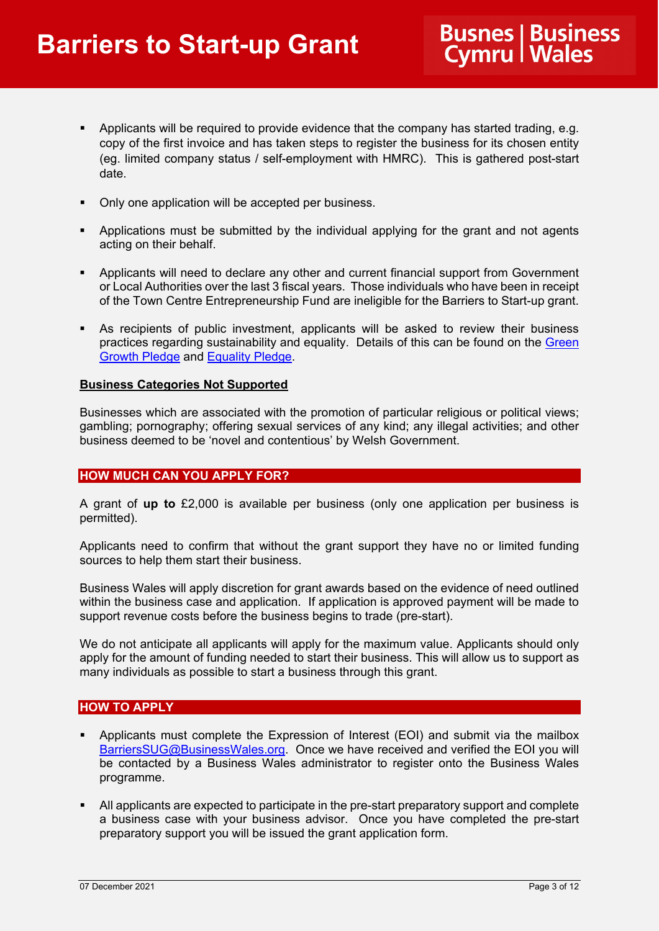- **Applicants will be required to provide evidence that the company has started trading, e.g.** copy of the first invoice and has taken steps to register the business for its chosen entity (eg. limited company status / self-employment with HMRC). This is gathered post-start date.
- Only one application will be accepted per business.
- **•** Applications must be submitted by the individual applying for the grant and not agents acting on their behalf.
- Applicants will need to declare any other and current financial support from Government or Local Authorities over the last 3 fiscal years. Those individuals who have been in receipt of the Town Centre Entrepreneurship Fund are ineligible for the Barriers to Start-up grant.
- As recipients of public investment, applicants will be asked to review their business practices regarding sustainability and equality. Details of this can be found on the [Green](https://businesswales.gov.wales/green-growth-pledge-0)  [Growth Pledge](https://businesswales.gov.wales/green-growth-pledge-0) and [Equality Pledge.](https://businesswales.gov.wales/equality-pledge)

### **Business Categories Not Supported**

Businesses which are associated with the promotion of particular religious or political views; gambling; pornography; offering sexual services of any kind; any illegal activities; and other business deemed to be 'novel and contentious' by Welsh Government.

### **HOW MUCH CAN YOU APPLY FOR?**

A grant of **up to** £2,000 is available per business (only one application per business is permitted).

Applicants need to confirm that without the grant support they have no or limited funding sources to help them start their business.

Business Wales will apply discretion for grant awards based on the evidence of need outlined within the business case and application. If application is approved payment will be made to support revenue costs before the business begins to trade (pre-start).

We do not anticipate all applicants will apply for the maximum value. Applicants should only apply for the amount of funding needed to start their business. This will allow us to support as many individuals as possible to start a business through this grant.

# **HOW TO APPLY**

- Applicants must complete the Expression of Interest (EOI) and submit via the mailbox [BarriersSUG@BusinessWales.org.](mailto:BarriersSUG@BusinessWales.org) Once we have received and verified the EOI you will be contacted by a Business Wales administrator to register onto the Business Wales programme.
- All applicants are expected to participate in the pre-start preparatory support and complete a business case with your business advisor. Once you have completed the pre-start preparatory support you will be issued the grant application form.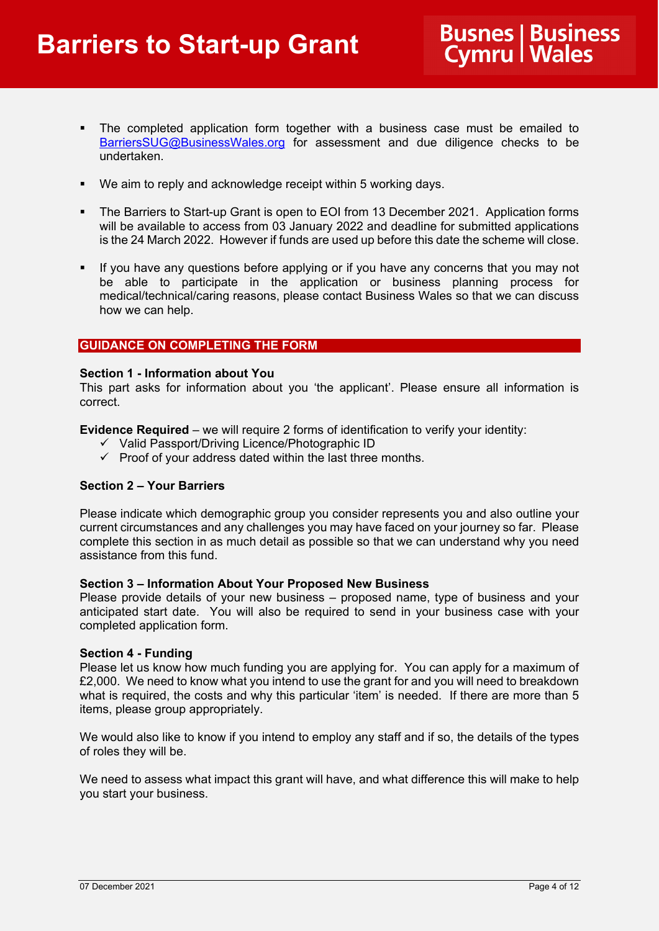- The completed application form together with a business case must be emailed to [BarriersSUG@BusinessWales.org](mailto:BarriersSUG@BusinessWales.org) for assessment and due diligence checks to be undertaken.
- We aim to reply and acknowledge receipt within 5 working days.
- The Barriers to Start-up Grant is open to EOI from 13 December 2021. Application forms will be available to access from 03 January 2022 and deadline for submitted applications is the 24 March 2022. However if funds are used up before this date the scheme will close.
- **If you have any questions before applying or if you have any concerns that you may not** be able to participate in the application or business planning process for medical/technical/caring reasons, please contact Business Wales so that we can discuss how we can help.

# **GUIDANCE ON COMPLETING THE FORM**

### **Section 1 - Information about You**

This part asks for information about you 'the applicant'. Please ensure all information is correct.

**Evidence Required** – we will require 2 forms of identification to verify your identity:

- $\checkmark$  Valid Passport/Driving Licence/Photographic ID
- $\checkmark$  Proof of your address dated within the last three months.

### **Section 2 – Your Barriers**

Please indicate which demographic group you consider represents you and also outline your current circumstances and any challenges you may have faced on your journey so far. Please complete this section in as much detail as possible so that we can understand why you need assistance from this fund.

### **Section 3 – Information About Your Proposed New Business**

Please provide details of your new business – proposed name, type of business and your anticipated start date. You will also be required to send in your business case with your completed application form.

### **Section 4 - Funding**

Please let us know how much funding you are applying for. You can apply for a maximum of £2,000. We need to know what you intend to use the grant for and you will need to breakdown what is required, the costs and why this particular 'item' is needed. If there are more than 5 items, please group appropriately.

We would also like to know if you intend to employ any staff and if so, the details of the types of roles they will be.

We need to assess what impact this grant will have, and what difference this will make to help you start your business.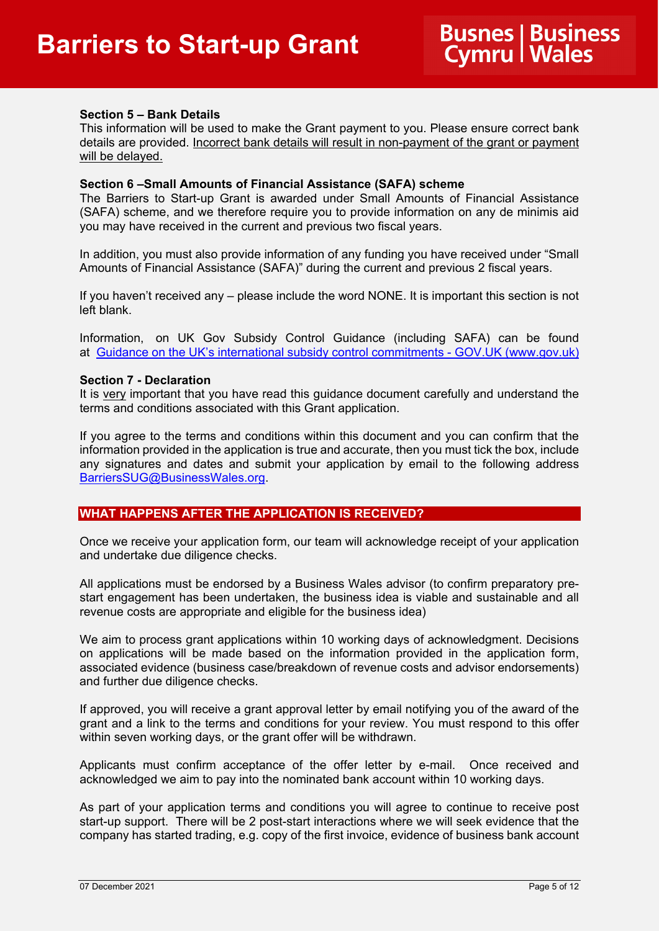## **Section 5 – Bank Details**

This information will be used to make the Grant payment to you. Please ensure correct bank details are provided. Incorrect bank details will result in non-payment of the grant or payment will be delayed.

#### **Section 6 –Small Amounts of Financial Assistance (SAFA) scheme**

The Barriers to Start-up Grant is awarded under Small Amounts of Financial Assistance (SAFA) scheme, and we therefore require you to provide information on any de minimis aid you may have received in the current and previous two fiscal years.

In addition, you must also provide information of any funding you have received under "Small Amounts of Financial Assistance (SAFA)" during the current and previous 2 fiscal years.

If you haven't received any – please include the word NONE. It is important this section is not left blank.

Information, on UK Gov Subsidy Control Guidance (including SAFA) can be found at [Guidance on the UK's international subsidy control commitments -](https://eur01.safelinks.protection.outlook.com/?url=https%3A%2F%2Fwww.gov.uk%2Fgovernment%2Fpublications%2Fcomplying-with-the-uks-international-obligations-on-subsidy-control-guidance-for-public-authorities%2Ftechnical-guidance-on-the-uks-international-subsidy-control-commitments&data=04%7C01%7CErica.Morgan%40gov.wales%7C92e714aa34c440e2ac5b08d9b57e789c%7Ca2cc36c592804ae78887d06dab89216b%7C0%7C0%7C637740377045962563%7CUnknown%7CTWFpbGZsb3d8eyJWIjoiMC4wLjAwMDAiLCJQIjoiV2luMzIiLCJBTiI6Ik1haWwiLCJXVCI6Mn0%3D%7C3000&sdata=6BieMBrPsZHM1IcA91EgKWvYoIfl07tFqZifsB5u4D8%3D&reserved=0) GOV.UK (www.gov.uk)

#### **Section 7 - Declaration**

It is very important that you have read this guidance document carefully and understand the terms and conditions associated with this Grant application.

If you agree to the terms and conditions within this document and you can confirm that the information provided in the application is true and accurate, then you must tick the box, include any signatures and dates and submit your application by email to the following address [BarriersSUG@BusinessWales.org.](mailto:BarriersSUG@BusinessWales.org)

# **WHAT HAPPENS AFTER THE APPLICATION IS RECEIVED?**

Once we receive your application form, our team will acknowledge receipt of your application and undertake due diligence checks.

All applications must be endorsed by a Business Wales advisor (to confirm preparatory prestart engagement has been undertaken, the business idea is viable and sustainable and all revenue costs are appropriate and eligible for the business idea)

We aim to process grant applications within 10 working days of acknowledgment. Decisions on applications will be made based on the information provided in the application form, associated evidence (business case/breakdown of revenue costs and advisor endorsements) and further due diligence checks.

If approved, you will receive a grant approval letter by email notifying you of the award of the grant and a link to the terms and conditions for your review. You must respond to this offer within seven working days, or the grant offer will be withdrawn.

Applicants must confirm acceptance of the offer letter by e-mail. Once received and acknowledged we aim to pay into the nominated bank account within 10 working days.

As part of your application terms and conditions you will agree to continue to receive post start-up support. There will be 2 post-start interactions where we will seek evidence that the company has started trading, e.g. copy of the first invoice, evidence of business bank account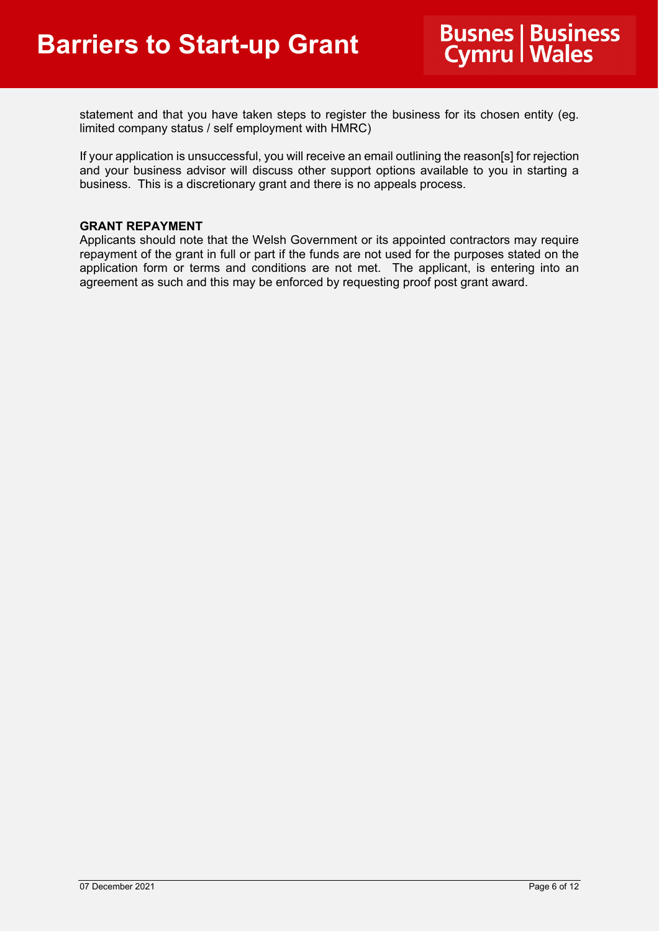statement and that you have taken steps to register the business for its chosen entity (eg. limited company status / self employment with HMRC)

If your application is unsuccessful, you will receive an email outlining the reason[s] for rejection and your business advisor will discuss other support options available to you in starting a business. This is a discretionary grant and there is no appeals process.

### **GRANT REPAYMENT**

Applicants should note that the Welsh Government or its appointed contractors may require repayment of the grant in full or part if the funds are not used for the purposes stated on the application form or terms and conditions are not met. The applicant, is entering into an agreement as such and this may be enforced by requesting proof post grant award.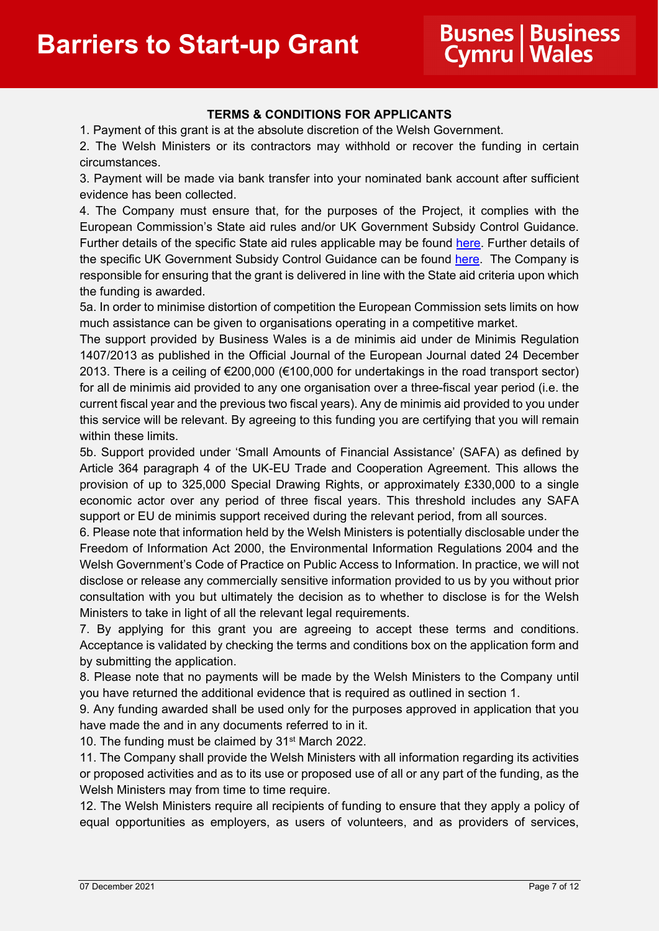# **TERMS & CONDITIONS FOR APPLICANTS**

1. Payment of this grant is at the absolute discretion of the Welsh Government.

2. The Welsh Ministers or its contractors may withhold or recover the funding in certain circumstances.

3. Payment will be made via bank transfer into your nominated bank account after sufficient evidence has been collected.

4. The Company must ensure that, for the purposes of the Project, it complies with the European Commission's State aid rules and/or UK Government Subsidy Control Guidance. Further details of the specific State aid rules applicable may be found [here.](https://gov.wales/state-aid#:%7E:text=The%20de%20minimis%20regulation%20covers,and%20last%202%20fiscal%20years).) Further details of the specific UK Government Subsidy Control Guidance can be found [here.](https://eur01.safelinks.protection.outlook.com/?url=https%3A%2F%2Fwww.gov.uk%2Fgovernment%2Fpublications%2Fcomplying-with-the-uks-international-obligations-on-subsidy-control-guidance-for-public-authorities%2Ftechnical-guidance-on-the-uks-international-subsidy-control-commitments&data=04%7C01%7CErica.Morgan%40gov.wales%7C92e714aa34c440e2ac5b08d9b57e789c%7Ca2cc36c592804ae78887d06dab89216b%7C0%7C0%7C637740377045962563%7CUnknown%7CTWFpbGZsb3d8eyJWIjoiMC4wLjAwMDAiLCJQIjoiV2luMzIiLCJBTiI6Ik1haWwiLCJXVCI6Mn0%3D%7C3000&sdata=6BieMBrPsZHM1IcA91EgKWvYoIfl07tFqZifsB5u4D8%3D&reserved=0) The Company is responsible for ensuring that the grant is delivered in line with the State aid criteria upon which the funding is awarded.

5a. In order to minimise distortion of competition the European Commission sets limits on how much assistance can be given to organisations operating in a competitive market.

The support provided by Business Wales is a de minimis aid under de Minimis Regulation 1407/2013 as published in the Official Journal of the European Journal dated 24 December 2013. There is a ceiling of €200,000 (€100,000 for undertakings in the road transport sector) for all de minimis aid provided to any one organisation over a three-fiscal year period (i.e. the current fiscal year and the previous two fiscal years). Any de minimis aid provided to you under this service will be relevant. By agreeing to this funding you are certifying that you will remain within these limits.

5b. Support provided under 'Small Amounts of Financial Assistance' (SAFA) as defined by Article 364 paragraph 4 of the UK-EU Trade and Cooperation Agreement. This allows the provision of up to 325,000 Special Drawing Rights, or approximately £330,000 to a single economic actor over any period of three fiscal years. This threshold includes any SAFA support or EU de minimis support received during the relevant period, from all sources.

6. Please note that information held by the Welsh Ministers is potentially disclosable under the Freedom of Information Act 2000, the Environmental Information Regulations 2004 and the Welsh Government's Code of Practice on Public Access to Information. In practice, we will not disclose or release any commercially sensitive information provided to us by you without prior consultation with you but ultimately the decision as to whether to disclose is for the Welsh Ministers to take in light of all the relevant legal requirements.

7. By applying for this grant you are agreeing to accept these terms and conditions. Acceptance is validated by checking the terms and conditions box on the application form and by submitting the application.

8. Please note that no payments will be made by the Welsh Ministers to the Company until you have returned the additional evidence that is required as outlined in section 1.

9. Any funding awarded shall be used only for the purposes approved in application that you have made the and in any documents referred to in it.

10. The funding must be claimed by 31<sup>st</sup> March 2022.

11. The Company shall provide the Welsh Ministers with all information regarding its activities or proposed activities and as to its use or proposed use of all or any part of the funding, as the Welsh Ministers may from time to time require.

12. The Welsh Ministers require all recipients of funding to ensure that they apply a policy of equal opportunities as employers, as users of volunteers, and as providers of services,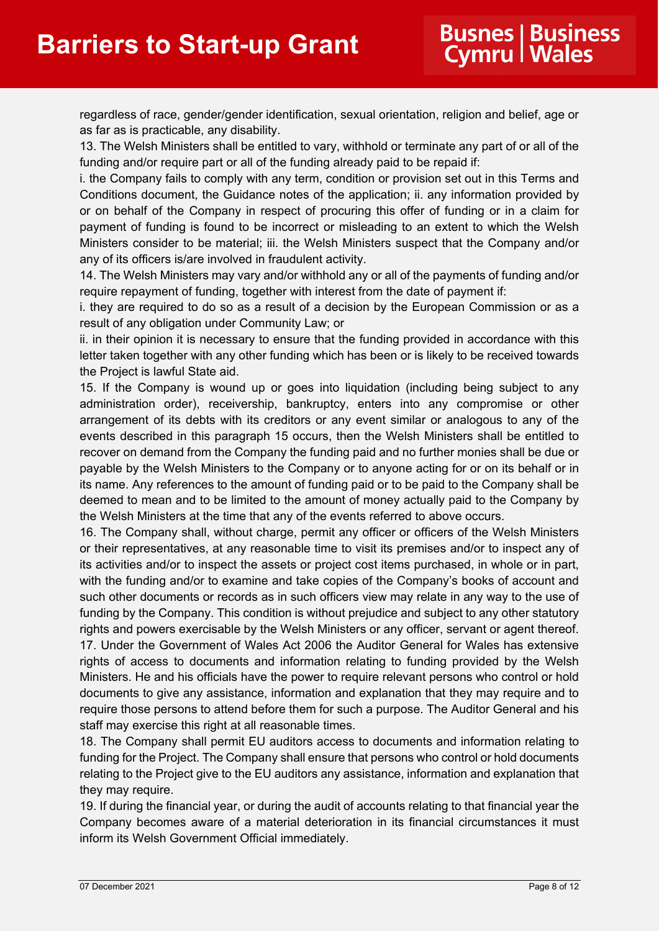regardless of race, gender/gender identification, sexual orientation, religion and belief, age or as far as is practicable, any disability.

13. The Welsh Ministers shall be entitled to vary, withhold or terminate any part of or all of the funding and/or require part or all of the funding already paid to be repaid if:

i. the Company fails to comply with any term, condition or provision set out in this Terms and Conditions document, the Guidance notes of the application; ii. any information provided by or on behalf of the Company in respect of procuring this offer of funding or in a claim for payment of funding is found to be incorrect or misleading to an extent to which the Welsh Ministers consider to be material; iii. the Welsh Ministers suspect that the Company and/or any of its officers is/are involved in fraudulent activity.

14. The Welsh Ministers may vary and/or withhold any or all of the payments of funding and/or require repayment of funding, together with interest from the date of payment if:

i. they are required to do so as a result of a decision by the European Commission or as a result of any obligation under Community Law; or

ii. in their opinion it is necessary to ensure that the funding provided in accordance with this letter taken together with any other funding which has been or is likely to be received towards the Project is lawful State aid.

15. If the Company is wound up or goes into liquidation (including being subject to any administration order), receivership, bankruptcy, enters into any compromise or other arrangement of its debts with its creditors or any event similar or analogous to any of the events described in this paragraph 15 occurs, then the Welsh Ministers shall be entitled to recover on demand from the Company the funding paid and no further monies shall be due or payable by the Welsh Ministers to the Company or to anyone acting for or on its behalf or in its name. Any references to the amount of funding paid or to be paid to the Company shall be deemed to mean and to be limited to the amount of money actually paid to the Company by the Welsh Ministers at the time that any of the events referred to above occurs.

16. The Company shall, without charge, permit any officer or officers of the Welsh Ministers or their representatives, at any reasonable time to visit its premises and/or to inspect any of its activities and/or to inspect the assets or project cost items purchased, in whole or in part, with the funding and/or to examine and take copies of the Company's books of account and such other documents or records as in such officers view may relate in any way to the use of funding by the Company. This condition is without prejudice and subject to any other statutory rights and powers exercisable by the Welsh Ministers or any officer, servant or agent thereof. 17. Under the Government of Wales Act 2006 the Auditor General for Wales has extensive rights of access to documents and information relating to funding provided by the Welsh Ministers. He and his officials have the power to require relevant persons who control or hold documents to give any assistance, information and explanation that they may require and to require those persons to attend before them for such a purpose. The Auditor General and his staff may exercise this right at all reasonable times.

18. The Company shall permit EU auditors access to documents and information relating to funding for the Project. The Company shall ensure that persons who control or hold documents relating to the Project give to the EU auditors any assistance, information and explanation that they may require.

19. If during the financial year, or during the audit of accounts relating to that financial year the Company becomes aware of a material deterioration in its financial circumstances it must inform its Welsh Government Official immediately.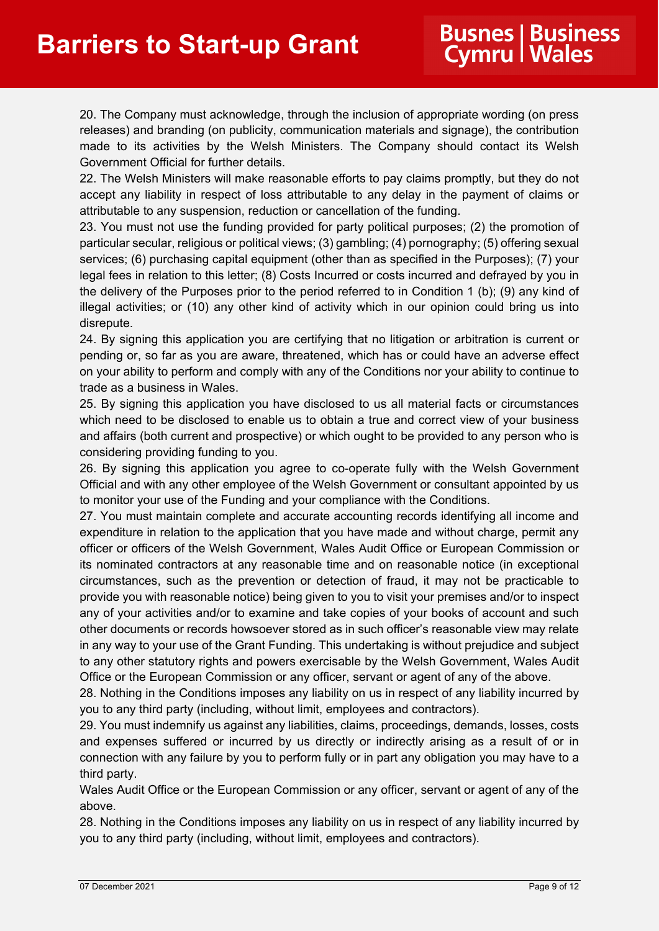20. The Company must acknowledge, through the inclusion of appropriate wording (on press releases) and branding (on publicity, communication materials and signage), the contribution made to its activities by the Welsh Ministers. The Company should contact its Welsh Government Official for further details.

22. The Welsh Ministers will make reasonable efforts to pay claims promptly, but they do not accept any liability in respect of loss attributable to any delay in the payment of claims or attributable to any suspension, reduction or cancellation of the funding.

23. You must not use the funding provided for party political purposes; (2) the promotion of particular secular, religious or political views; (3) gambling; (4) pornography; (5) offering sexual services; (6) purchasing capital equipment (other than as specified in the Purposes); (7) your legal fees in relation to this letter; (8) Costs Incurred or costs incurred and defrayed by you in the delivery of the Purposes prior to the period referred to in Condition 1 (b); (9) any kind of illegal activities; or (10) any other kind of activity which in our opinion could bring us into disrepute.

24. By signing this application you are certifying that no litigation or arbitration is current or pending or, so far as you are aware, threatened, which has or could have an adverse effect on your ability to perform and comply with any of the Conditions nor your ability to continue to trade as a business in Wales.

25. By signing this application you have disclosed to us all material facts or circumstances which need to be disclosed to enable us to obtain a true and correct view of your business and affairs (both current and prospective) or which ought to be provided to any person who is considering providing funding to you.

26. By signing this application you agree to co-operate fully with the Welsh Government Official and with any other employee of the Welsh Government or consultant appointed by us to monitor your use of the Funding and your compliance with the Conditions.

27. You must maintain complete and accurate accounting records identifying all income and expenditure in relation to the application that you have made and without charge, permit any officer or officers of the Welsh Government, Wales Audit Office or European Commission or its nominated contractors at any reasonable time and on reasonable notice (in exceptional circumstances, such as the prevention or detection of fraud, it may not be practicable to provide you with reasonable notice) being given to you to visit your premises and/or to inspect any of your activities and/or to examine and take copies of your books of account and such other documents or records howsoever stored as in such officer's reasonable view may relate in any way to your use of the Grant Funding. This undertaking is without prejudice and subject to any other statutory rights and powers exercisable by the Welsh Government, Wales Audit Office or the European Commission or any officer, servant or agent of any of the above.

28. Nothing in the Conditions imposes any liability on us in respect of any liability incurred by you to any third party (including, without limit, employees and contractors).

29. You must indemnify us against any liabilities, claims, proceedings, demands, losses, costs and expenses suffered or incurred by us directly or indirectly arising as a result of or in connection with any failure by you to perform fully or in part any obligation you may have to a third party.

Wales Audit Office or the European Commission or any officer, servant or agent of any of the above.

28. Nothing in the Conditions imposes any liability on us in respect of any liability incurred by you to any third party (including, without limit, employees and contractors).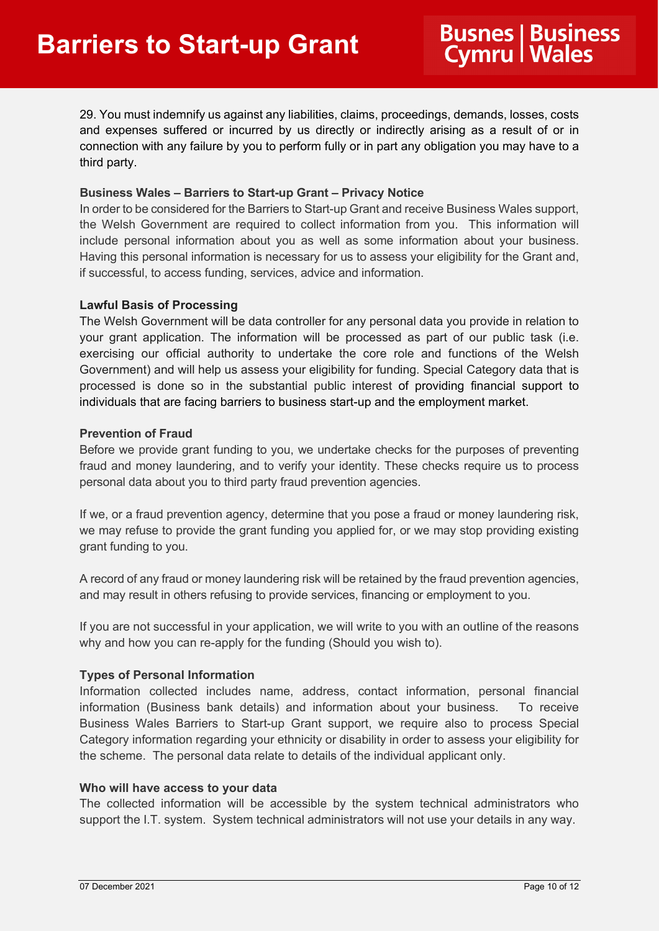29. You must indemnify us against any liabilities, claims, proceedings, demands, losses, costs and expenses suffered or incurred by us directly or indirectly arising as a result of or in connection with any failure by you to perform fully or in part any obligation you may have to a third party.

### **Business Wales – Barriers to Start-up Grant – Privacy Notice**

In order to be considered for the Barriers to Start-up Grant and receive Business Wales support, the Welsh Government are required to collect information from you. This information will include personal information about you as well as some information about your business. Having this personal information is necessary for us to assess your eligibility for the Grant and, if successful, to access funding, services, advice and information.

## **Lawful Basis of Processing**

The Welsh Government will be data controller for any personal data you provide in relation to your grant application. The information will be processed as part of our public task (i.e. exercising our official authority to undertake the core role and functions of the Welsh Government) and will help us assess your eligibility for funding. Special Category data that is processed is done so in the substantial public interest of providing financial support to individuals that are facing barriers to business start-up and the employment market.

## **Prevention of Fraud**

Before we provide grant funding to you, we undertake checks for the purposes of preventing fraud and money laundering, and to verify your identity. These checks require us to process personal data about you to third party fraud prevention agencies.

If we, or a fraud prevention agency, determine that you pose a fraud or money laundering risk, we may refuse to provide the grant funding you applied for, or we may stop providing existing grant funding to you.

A record of any fraud or money laundering risk will be retained by the fraud prevention agencies, and may result in others refusing to provide services, financing or employment to you.

If you are not successful in your application, we will write to you with an outline of the reasons why and how you can re-apply for the funding (Should you wish to).

# **Types of Personal Information**

Information collected includes name, address, contact information, personal financial information (Business bank details) and information about your business. To receive Business Wales Barriers to Start-up Grant support, we require also to process Special Category information regarding your ethnicity or disability in order to assess your eligibility for the scheme. The personal data relate to details of the individual applicant only.

### **Who will have access to your data**

The collected information will be accessible by the system technical administrators who support the I.T. system. System technical administrators will not use your details in any way.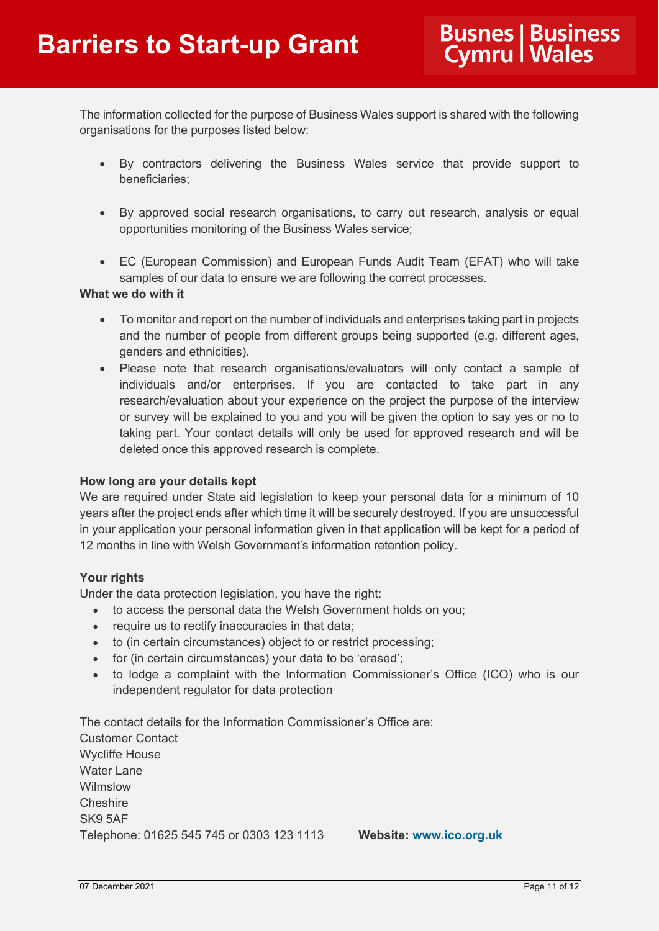The information collected for the purpose of Business Wales support is shared with the following organisations for the purposes listed below:

- By contractors delivering the Business Wales service that provide support to beneficiaries;
- By approved social research organisations, to carry out research, analysis or equal opportunities monitoring of the Business Wales service;
- EC (European Commission) and European Funds Audit Team (EFAT) who will take samples of our data to ensure we are following the correct processes.

# **What we do with it**

- To monitor and report on the number of individuals and enterprises taking part in projects and the number of people from different groups being supported (e.g. different ages, genders and ethnicities).
- Please note that research organisations/evaluators will only contact a sample of individuals and/or enterprises. If you are contacted to take part in any research/evaluation about your experience on the project the purpose of the interview or survey will be explained to you and you will be given the option to say yes or no to taking part. Your contact details will only be used for approved research and will be deleted once this approved research is complete.

# **How long are your details kept**

We are required under State aid legislation to keep your personal data for a minimum of 10 years after the project ends after which time it will be securely destroyed. If you are unsuccessful in your application your personal information given in that application will be kept for a period of 12 months in line with Welsh Government's information retention policy.

# **Your rights**

Under the data protection legislation, you have the right:

- to access the personal data the Welsh Government holds on you;
- require us to rectify inaccuracies in that data;
- to (in certain circumstances) object to or restrict processing;
- for (in certain circumstances) your data to be 'erased';
- to lodge a complaint with the Information Commissioner's Office (ICO) who is our independent regulator for data protection

The contact details for the Information Commissioner's Office are: Customer Contact Wycliffe House Water Lane Wilmslow **Cheshire** SK9 5AF Telephone: 01625 545 745 or 0303 123 1113 **Website: [www.ico.org.uk](http://www.ico.gov.uk/)**